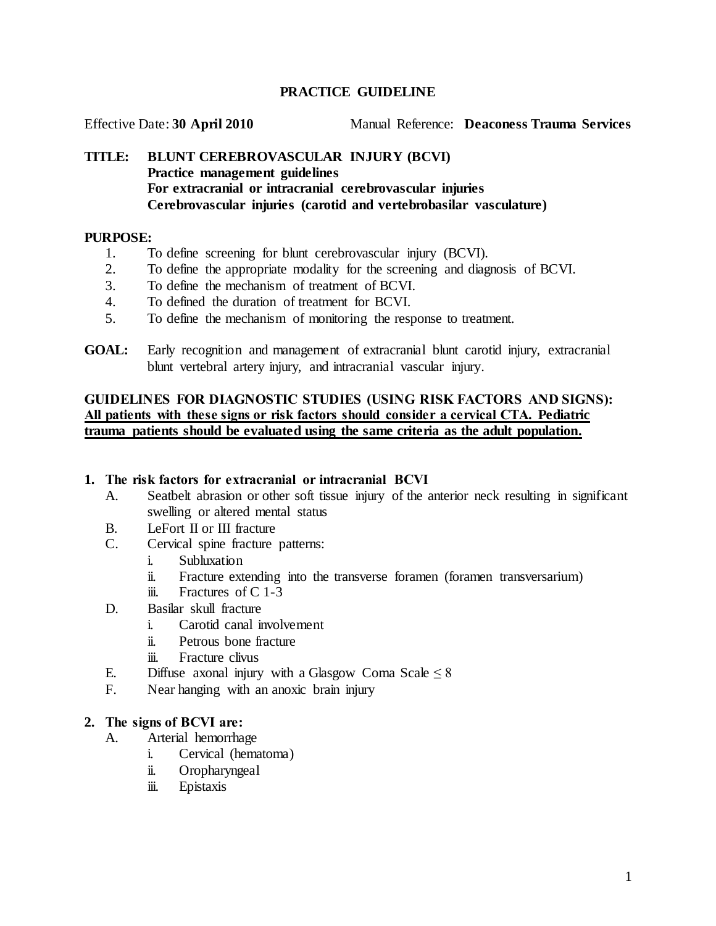## **PRACTICE GUIDELINE**

Effective Date: **30 April 2010** Manual Reference: **Deaconess Trauma Services**

## **TITLE: BLUNT CEREBROVASCULAR INJURY (BCVI) Practice management guidelines For extracranial or intracranial cerebrovascular injuries Cerebrovascular injuries (carotid and vertebrobasilar vasculature)**

### **PURPOSE:**

- 1. To define screening for blunt cerebrovascular injury (BCVI).
- 2. To define the appropriate modality for the screening and diagnosis of BCVI.
- 3. To define the mechanism of treatment of BCVI.
- 4. To defined the duration of treatment for BCVI.
- 5. To define the mechanism of monitoring the response to treatment.
- **GOAL:** Early recognition and management of extracranial blunt carotid injury, extracranial blunt vertebral artery injury, and intracranial vascular injury.

## **GUIDELINES FOR DIAGNOSTIC STUDIES (USING RISK FACTORS AND SIGNS): All patients with these signs or risk factors should consider a cervical CTA. Pediatric trauma patients should be evaluated using the same criteria as the adult population.**

#### **1. The risk factors for extracranial or intracranial BCVI**

- A. Seatbelt abrasion or other soft tissue injury of the anterior neck resulting in significant swelling or altered mental status
- B. LeFort II or III fracture
- C. Cervical spine fracture patterns:
	- i. Subluxation
	- ii. Fracture extending into the transverse foramen (foramen transversarium)
	- iii. Fractures of  $C$  1-3
- D. Basilar skull fracture
	- i. Carotid canal involvement
	- ii. Petrous bone fracture
	- iii. Fracture clivus
- E. Diffuse axonal injury with a Glasgow Coma Scale  $\leq 8$
- F. Near hanging with an anoxic brain injury

#### **2. The signs of BCVI are:**

- A. Arterial hemorrhage
	- i. Cervical (hematoma)
	- ii. Oropharyngeal
	- iii. Epistaxis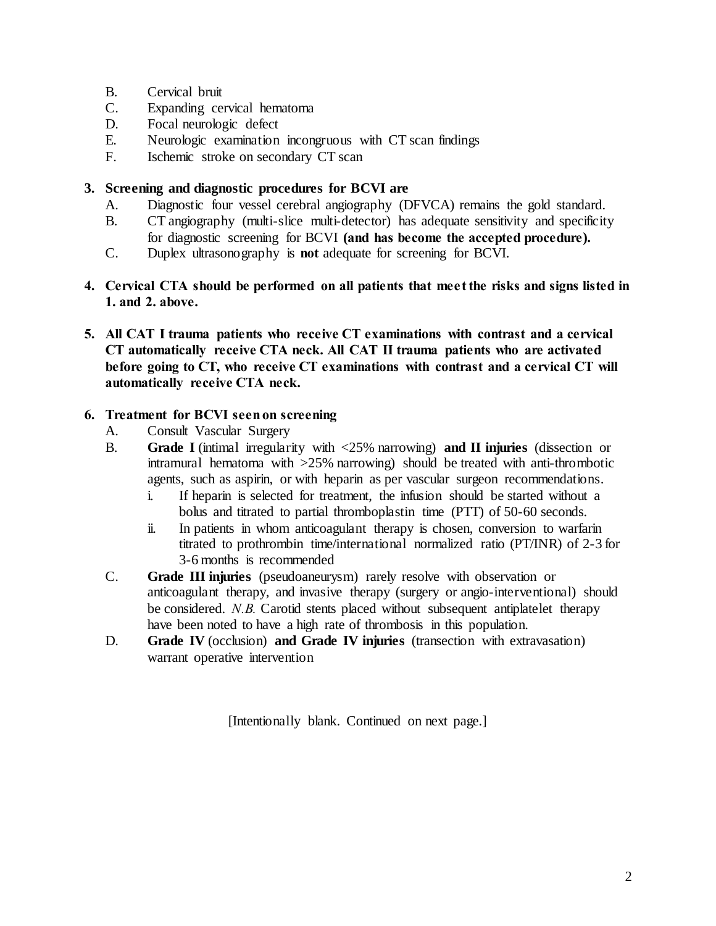- B. Cervical bruit
- C. Expanding cervical hematoma
- D. Focal neurologic defect
- E. Neurologic examination incongruous with CT scan findings
- F. Ischemic stroke on secondary CT scan

# **3. Screening and diagnostic procedures for BCVI are**

- A. Diagnostic four vessel cerebral angiography (DFVCA) remains the gold standard.
- B. CT angiography (multi-slice multi-detector) has adequate sensitivity and specificity for diagnostic screening for BCVI **(and has become the accepted procedure).**
- C. Duplex ultrasonography is **not** adequate for screening for BCVI.
- **4. Cervical CTA should be performed on all patients that meet the risks and signs listed in 1. and 2. above.**
- **5. All CAT I trauma patients who receive CT examinations with contrast and a cervical CT automatically receive CTA neck. All CAT II trauma patients who are activated before going to CT, who receive CT examinations with contrast and a cervical CT will automatically receive CTA neck.**

# **6. Treatment for BCVI seen on screening**

- A. Consult Vascular Surgery
- B. **Grade I** (intimal irregularity with <25% narrowing) **and II injuries** (dissection or intramural hematoma with >25% narrowing) should be treated with anti-thrombotic agents, such as aspirin, or with heparin as per vascular surgeon recommendations.
	- i. If heparin is selected for treatment, the infusion should be started without a bolus and titrated to partial thromboplastin time (PTT) of 50-60 seconds.
	- ii. In patients in whom anticoagulant therapy is chosen, conversion to warfarin titrated to prothrombin time/international normalized ratio (PT/INR) of 2-3 for 3-6 months is recommended
- C. **Grade III injuries** (pseudoaneurysm) rarely resolve with observation or anticoagulant therapy, and invasive therapy (surgery or angio-interventional) should be considered. *N.B.* Carotid stents placed without subsequent antiplatelet therapy have been noted to have a high rate of thrombosis in this population.
- D. **Grade IV** (occlusion) **and Grade IV injuries** (transection with extravasation) warrant operative intervention

[Intentionally blank. Continued on next page.]